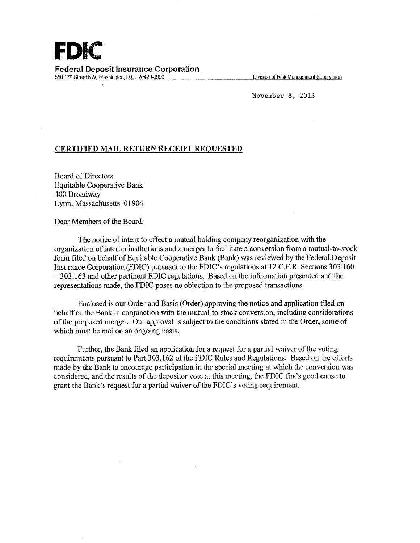Division of Risk Management Supervision

November 8, 2013

## **CERTIFIED MAIL RETURN RECEIPT REQUESTED**

Board of Directors Equitable Cooperative Bank 400 Broadway Lynn, Massachusetts 01904

Dear Members of the Board:

The notice of intent to effect a mutual holding company reorganization with the organization of interim institutions and a merger to facilitate a conversion from a mutual-to-stock form filed on behalf of Equitable Cooperative Bank (Bank) was reviewed by the Federal Deposit Insurance Corporation (FDIC) pursuant to the FDIC's regulations at 12 C.F.R. Sections 303.160  $-303.163$  and other pertinent FDIC regulations. Based on the information presented and the representations made, the FDIC poses no objection to the proposed transactions.

Enclosed is our Order and Basis (Order) approving the notice and application filed on behalf of the Bank in conjunction with the mutual-to-stock conversion, including considerations of the proposed merger. Our approval is subject to the conditions stated in the Order, some of which must be met on an ongoing basis.

Further, the Bank filed an application for a request for a partial waiver of the voting requirements pursuant to Part 303.162 of the FDIC Rules and Regulations. Based on the efforts made by the Bank to encourage participation in the special meeting at which the conversion was considered, and the results of the depositor vote at this meeting, the FDIC finds good cause to grant the Bank's request for a partial waiver of the FDIC's voting requirement.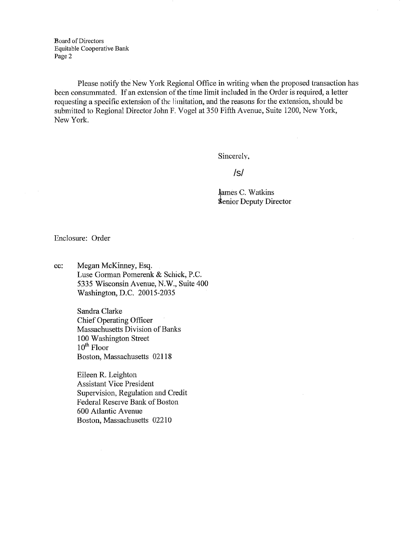Board of Directors Equitable Cooperative Bank Page 2

Please notify the New York Regional Office in writing when the proposed transaction has been consummated. If an extension of the time limit included in the Order is required, a letter requesting a specific extension of the limitation, and the reasons for the extension, should be submitted to Regional Director John F. Vogel at 350 Fifth Avenue, Suite 1200, New York, New York.

Sincerely,

/s/

James C. Watkins **Senior Deputy Director** 

Enclosure: Order

cc: Megan McKinney, Esq. Luse Gorman Pomerenk & Schick, P.C. 5335 Wisconsin Avenue; N.W., Suite 4Q0 Washington, D.C. 20015-2035.

> Sandra Clarke Chief Operating Officer Massachusetts Division of Banks 100 Washington Street  $10<sup>th</sup>$  Floor Boston, Massachusetts 02118

Eileen R. Leighton Assistant Vice President Supervision, Regulation and Credit Federal Reserve Bank of Boston 600 Atlantic Avenue Boston, Massachusetts 02210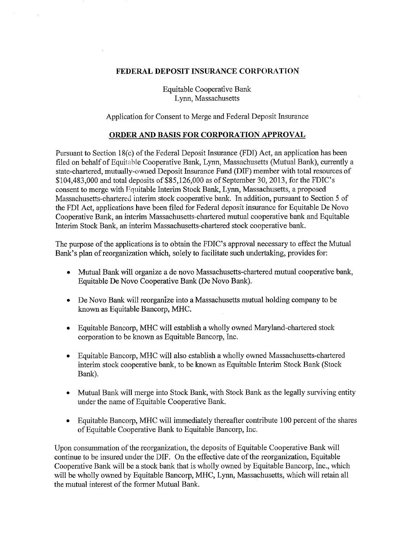## FEDERAL DEPOSIT INSURANCE CORPORATION

**Equitable Cooperative Bank** Lynn, Massachusetts

## Application for Consent to Merge and Federal Deposit Insurance

## ORDER AND BASIS FOR CORPORATION APPROVAL

Pursuant to Section 18(c) of the Federal Deposit Insurance (FDI) Act, an application has been filed on behalf of Equitable Cooperative Bank, Lynn, Massachusetts (Mutual Bank), currently a state-chartered, mutually-owned Deposit Insurance Fund (DIF) member with total resources of \$104,483,000 and total deposits of \$85,126,000 as of September 30, 2013, for the FDIC's consent to merge with Equitable Interim Stock Bank, Lynn, Massachusetts, a proposed Massachusetts-chartered interim stock cooperative bank. In addition, pursuant to Section 5 of the FDI Act, applications have been filed for Federal deposit insurance for Equitable De Novo Cooperative Bank, an interim Massachusetts-chartered mutual cooperative bank and Equitable Interim Stock Bank, an interim Massachusetts-chartered stock cooperative bank.

The purpose of the applications is to obtain the FDIC's approval necessary to effect the Mutual Bank's plan of reorganization which, solely to facilitate such undertaking, provides for:

- Mutual Bank will organize a de novo Massachusetts-chartered mutual cooperative bank, Equitable De Novo Cooperative Bank (De Novo Bank).
- De Novo Bank will reorganize into a Massachusetts mutual holding company to be known as Equitable Bancorp, MHC.
- Equitable Bancorp, MHC will establish a wholly owned Maryland-chartered stock corporation to be known as Equitable Bancorp, Inc.
- Equitable Bancorp, MHC will also establish a wholly owned Massachusetts-chartered interim stock cooperative bank, to be known as Equitable Interim Stock Bank (Stock Bank).
- Mutual Bank will merge into Stock Bank, with Stock Bank as the legally surviving entity  $\bullet$ under the name of Equitable Cooperative Bank.
- Equitable Bancorp, MHC will immediately thereafter contribute 100 percent of the shares  $\bullet$ of Equitable Cooperative Bank to Equitable Bancorp, Inc.

Upon consummation of the reorganization, the deposits of Equitable Cooperative Bank will continue to be insured under the DIF. On the effective date of the reorganization, Equitable Cooperative Bank will be a stock bank that is wholly owned by Equitable Bancorp, Inc., which will be wholly owned by Equitable Bancorp, MHC, Lynn, Massachusetts, which will retain all the mutual interest of the former Mutual Bank.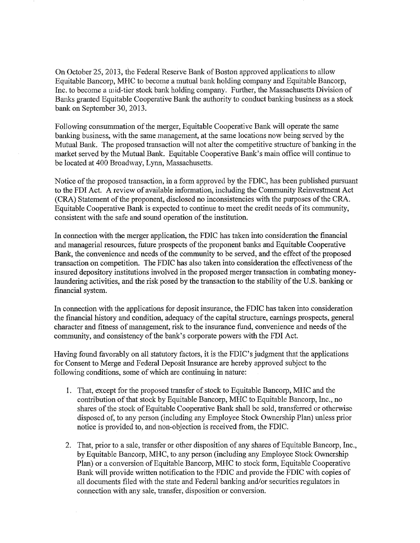On October 25, 2013, the Federal Reserve Bank of Boston approved applications to allow Equitable Bancorp, MHC to become a mutual bank holding company and Equitable Bancorp, Inc. to become a mid-tier stock bank holding company. Further, the Massachusetts Division of Banks granted Equitable Cooperative Bank the authority to conduct banking business as a stock bank on September 30, 2013.

Following consummation of the merger, Equitable Cooperative Bank will operate the same banking business, with the same management, at the same locations now being served by the Mutual Bank. The proposed transaction will not alter the competitive structure of banking in the market served by the Mutual Bank. Equitable Cooperative Bank's main office will continue to be located at 400 Broadway, Lynn, Massachusetts.

Notice of the proposed transaction, in a form approved by the FDIC, has been published pursuant to the FDI Act. A review of available information, including the Community Reinvestment Act (CRA) Statement of the proponent, disclosed no inconsistencies with the purposes of the CRA. Equitable Cooperative Bank is expected to continue to meet the credit needs of its community, consistent with the safe and sound operation of the institution.

In connection with the merger application, the FDIC has taken into consideration the financial and managerial resources, future prospects of the proponent banks and Equitable Cooperative Bank, the convenience and needs of the community to be served, and the effect of the proposed transaction on competition. The FDIC has also taken into consideration the effectiveness of the insured depository institutions involved in the proposed merger transaction in combating moneylaundering activities, and the risk posed by the transaction to the stability of the U.S. banking or financial system.

In connection with the applications for deposit insurance, the FDIC has taken into consideration the financial history and condition, adequacy of the capital structure, earnings prospects, general character and fitness of management, risk to the insurance fund, convenience and needs of the community, and consistency of the bank's corporate powers with the FDI Act.

Having found favorably on all statutory factors, it is the FDIC's judgment that the applications for Consent to Merge and Federal Deposit Insurance are hereby approved subject to the following conditions, some of which are continuing in nature:

- 1. That, except for the proposed transfer of stock to Equitable Bancorp, MHC and the contribution of that stock by Equitable Bancorp, MHC to Equitable Bancorp, Inc., no shares of the stock of Equitable Cooperative Bank shall be sold, transferred or otherwise disposed of, to any person (including any Employee Stock Ownership Plan) unless prior notice is provided to, and non-objection is received from, the FDIC.
- 2. That, prior to a sale, transfer or other disposition of any shares of Equitable Bancorp, Inc., by Equitable Bancorp, MHC, to any person (including any Employee Stock Ownership Plan) or a conversion of Equitable Bancorp, MHC to stock form, Equitable Cooperative Bank will provide written notification to the FDIC and provide the FDIC with copies of all documents filed with the state and Federal banking and/or securities regulators in connection with any sale, transfer, disposition or conversion.